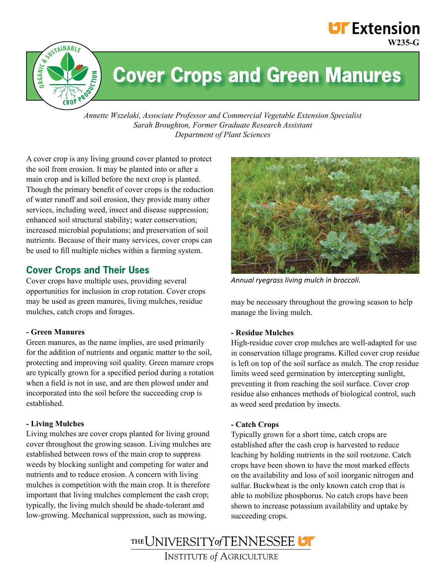## **UF** Extension **W235-G**



# **Cover Crops and Green Manures**

*Annette Wszelaki, Associate Professor and Commercial Vegetable Extension Specialist Sarah Broughton, Former Graduate Research Assistant Department of Plant Sciences*

A cover crop is any living ground cover planted to protect the soil from erosion. It may be planted into or after a main crop and is killed before the next crop is planted. Though the primary benefit of cover crops is the reduction of water runoff and soil erosion, they provide many other services, including weed, insect and disease suppression; enhanced soil structural stability; water conservation; increased microbial populations; and preservation of soil nutrients. Because of their many services, cover crops can be used to fill multiple niches within a farming system.

## **Cover Crops and Their Uses**

Cover crops have multiple uses, providing several opportunities for inclusion in crop rotation. Cover crops may be used as green manures, living mulches, residue mulches, catch crops and forages.

#### **- Green Manures**

Green manures, as the name implies, are used primarily for the addition of nutrients and organic matter to the soil, protecting and improving soil quality. Green manure crops are typically grown for a specified period during a rotation when a field is not in use, and are then plowed under and incorporated into the soil before the succeeding crop is established.

## **- Living Mulches**

Living mulches are cover crops planted for living ground cover throughout the growing season. Living mulches are established between rows of the main crop to suppress weeds by blocking sunlight and competing for water and nutrients and to reduce erosion. A concern with living mulches is competition with the main crop. It is therefore important that living mulches complement the cash crop; typically, the living mulch should be shade-tolerant and low-growing. Mechanical suppression, such as mowing,



*Annual ryegrass living mulch in broccoli.*

may be necessary throughout the growing season to help manage the living mulch.

## **- Residue Mulches**

High-residue cover crop mulches are well-adapted for use in conservation tillage programs. Killed cover crop residue is left on top of the soil surface as mulch. The crop residue limits weed seed germination by intercepting sunlight, preventing it from reaching the soil surface. Cover crop residue also enhances methods of biological control, such as weed seed predation by insects.

#### **- Catch Crops**

Typically grown for a short time, catch crops are established after the cash crop is harvested to reduce leaching by holding nutrients in the soil rootzone. Catch crops have been shown to have the most marked effects on the availability and loss of soil inorganic nitrogen and sulfur. Buckwheat is the only known catch crop that is able to mobilize phosphorus. No catch crops have been shown to increase potassium availability and uptake by succeeding crops.

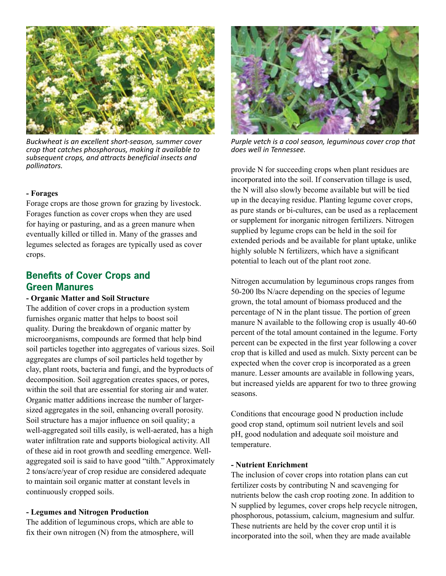

*Buckwheat is an excellent short-season, summer cover crop that catches phosphorous, making it available to subsequent crops, and attracts beneficial insects and pollinators.*

#### **- Forages**

Forage crops are those grown for grazing by livestock. Forages function as cover crops when they are used for haying or pasturing, and as a green manure when eventually killed or tilled in. Many of the grasses and legumes selected as forages are typically used as cover crops.

## **Benefits of Cover Crops and Green Manures**

#### **- Organic Matter and Soil Structure**

The addition of cover crops in a production system furnishes organic matter that helps to boost soil quality. During the breakdown of organic matter by microorganisms, compounds are formed that help bind soil particles together into aggregates of various sizes. Soil aggregates are clumps of soil particles held together by clay, plant roots, bacteria and fungi, and the byproducts of decomposition. Soil aggregation creates spaces, or pores, within the soil that are essential for storing air and water. Organic matter additions increase the number of largersized aggregates in the soil, enhancing overall porosity. Soil structure has a major influence on soil quality; a well-aggregated soil tills easily, is well-aerated, has a high water infiltration rate and supports biological activity. All of these aid in root growth and seedling emergence. Wellaggregated soil is said to have good "tilth." Approximately 2 tons/acre/year of crop residue are considered adequate to maintain soil organic matter at constant levels in continuously cropped soils.

#### **- Legumes and Nitrogen Production**

The addition of leguminous crops, which are able to fix their own nitrogen (N) from the atmosphere, will



*Purple vetch is a cool season, leguminous cover crop that does well in Tennessee.* 

provide N for succeeding crops when plant residues are incorporated into the soil. If conservation tillage is used, the N will also slowly become available but will be tied up in the decaying residue. Planting legume cover crops, as pure stands or bi-cultures, can be used as a replacement or supplement for inorganic nitrogen fertilizers. Nitrogen supplied by legume crops can be held in the soil for extended periods and be available for plant uptake, unlike highly soluble N fertilizers, which have a significant potential to leach out of the plant root zone.

Nitrogen accumulation by leguminous crops ranges from 50-200 lbs N/acre depending on the species of legume grown, the total amount of biomass produced and the percentage of N in the plant tissue. The portion of green manure N available to the following crop is usually 40-60 percent of the total amount contained in the legume. Forty percent can be expected in the first year following a cover crop that is killed and used as mulch. Sixty percent can be expected when the cover crop is incorporated as a green manure. Lesser amounts are available in following years, but increased yields are apparent for two to three growing seasons.

Conditions that encourage good N production include good crop stand, optimum soil nutrient levels and soil pH, good nodulation and adequate soil moisture and temperature.

#### **- Nutrient Enrichment**

The inclusion of cover crops into rotation plans can cut fertilizer costs by contributing N and scavenging for nutrients below the cash crop rooting zone. In addition to N supplied by legumes, cover crops help recycle nitrogen, phosphorous, potassium, calcium, magnesium and sulfur. These nutrients are held by the cover crop until it is incorporated into the soil, when they are made available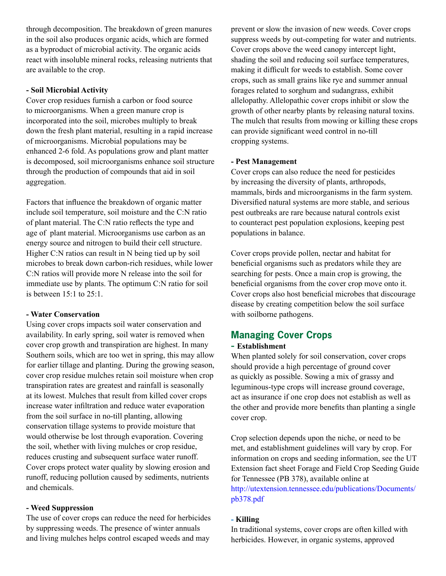through decomposition. The breakdown of green manures in the soil also produces organic acids, which are formed as a byproduct of microbial activity. The organic acids react with insoluble mineral rocks, releasing nutrients that are available to the crop.

#### **- Soil Microbial Activity**

Cover crop residues furnish a carbon or food source to microorganisms. When a green manure crop is incorporated into the soil, microbes multiply to break down the fresh plant material, resulting in a rapid increase of microorganisms. Microbial populations may be enhanced 2-6 fold. As populations grow and plant matter is decomposed, soil microorganisms enhance soil structure through the production of compounds that aid in soil aggregation.

Factors that influence the breakdown of organic matter include soil temperature, soil moisture and the C:N ratio of plant material. The C:N ratio reflects the type and age of plant material. Microorganisms use carbon as an energy source and nitrogen to build their cell structure. Higher C:N ratios can result in N being tied up by soil microbes to break down carbon-rich residues, while lower C:N ratios will provide more N release into the soil for immediate use by plants. The optimum C:N ratio for soil is between 15:1 to 25:1.

#### **- Water Conservation**

Using cover crops impacts soil water conservation and availability. In early spring, soil water is removed when cover crop growth and transpiration are highest. In many Southern soils, which are too wet in spring, this may allow for earlier tillage and planting. During the growing season, cover crop residue mulches retain soil moisture when crop transpiration rates are greatest and rainfall is seasonally at its lowest. Mulches that result from killed cover crops increase water infiltration and reduce water evaporation from the soil surface in no-till planting, allowing conservation tillage systems to provide moisture that would otherwise be lost through evaporation. Covering the soil, whether with living mulches or crop residue, reduces crusting and subsequent surface water runoff. Cover crops protect water quality by slowing erosion and runoff, reducing pollution caused by sediments, nutrients and chemicals.

#### **- Weed Suppression**

The use of cover crops can reduce the need for herbicides by suppressing weeds. The presence of winter annuals and living mulches helps control escaped weeds and may

prevent or slow the invasion of new weeds. Cover crops suppress weeds by out-competing for water and nutrients. Cover crops above the weed canopy intercept light, shading the soil and reducing soil surface temperatures, making it difficult for weeds to establish. Some cover crops, such as small grains like rye and summer annual forages related to sorghum and sudangrass, exhibit allelopathy. Allelopathic cover crops inhibit or slow the growth of other nearby plants by releasing natural toxins. The mulch that results from mowing or killing these crops can provide significant weed control in no-till cropping systems.

#### **- Pest Management**

Cover crops can also reduce the need for pesticides by increasing the diversity of plants, arthropods, mammals, birds and microorganisms in the farm system. Diversified natural systems are more stable, and serious pest outbreaks are rare because natural controls exist to counteract pest population explosions, keeping pest populations in balance.

Cover crops provide pollen, nectar and habitat for beneficial organisms such as predators while they are searching for pests. Once a main crop is growing, the beneficial organisms from the cover crop move onto it. Cover crops also host beneficial microbes that discourage disease by creating competition below the soil surface with soilborne pathogens.

## **Managing Cover Crops**

#### **- Establishment**

When planted solely for soil conservation, cover crops should provide a high percentage of ground cover as quickly as possible. Sowing a mix of grassy and leguminous-type crops will increase ground coverage, act as insurance if one crop does not establish as well as the other and provide more benefits than planting a single cover crop.

Crop selection depends upon the niche, or need to be met, and establishment guidelines will vary by crop. For information on crops and seeding information, see the UT Extension fact sheet Forage and Field Crop Seeding Guide for Tennessee (PB 378), available online at http://utextension.tennessee.edu/publications/Documents/ pb378.pdf

## **- Killing**

In traditional systems, cover crops are often killed with herbicides. However, in organic systems, approved